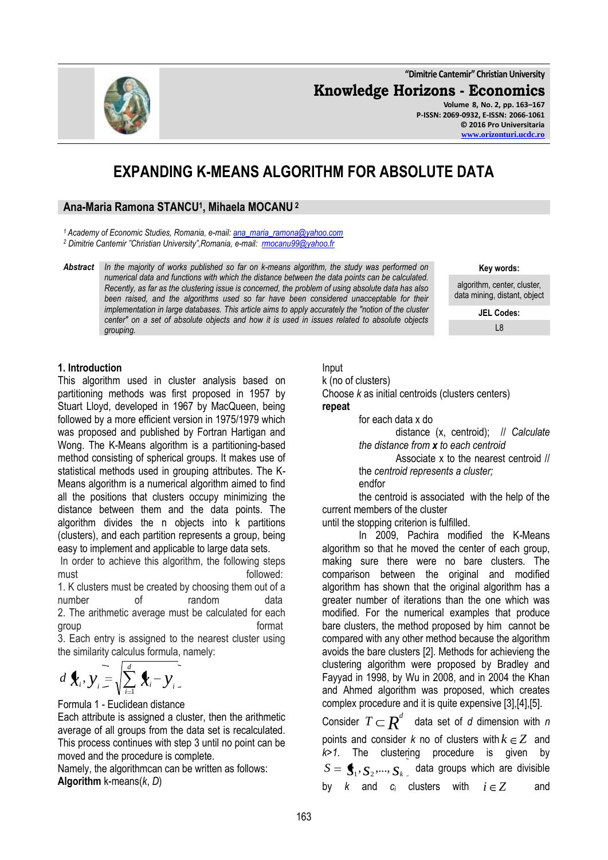**Knowledge Horizons - Economics Volume 8, No. 2, pp. 163–167**

**P-ISSN: 2069-0932, E-ISSN: 2066-1061 © 2016 Pro Universitaria [www.orizonturi.ucdc.ro](http://www.orizonturi.ucdc.ro/)**

**"Dimitrie Cantemir" Christian University**

# **EXPANDING K-MEANS ALGORITHM FOR ABSOLUTE DATA**

## **Ana-Maria Ramona STANCU<sup>1</sup> , Mihaela MOCANU <sup>2</sup>**

*<sup>1</sup> Academy of Economic Studies, Romania, e-mail: [ana\\_maria\\_ramona@yahoo.com](mailto:ana_maria_ramona@yahoo.com)*

*<sup>2</sup> Dimitrie Cantemir "Christian University",Romania, e-mail: [rmocanu99@yahoo.fr](mailto:rmocanu99@yahoo.fr)*

*Abstract In the majority of works published so far on k-means algorithm, the study was performed on numerical data and functions with which the distance between the data points can be calculated. Recently, as far as the clustering issue is concerned, the problem of using absolute data has also*  been raised, and the algorithms used so far have been considered unacceptable for their *implementation in large databases. This article aims to apply accurately the "notion of the cluster center" on a set of absolute objects and how it is used in issues related to absolute objects grouping.*

**Key words:**

algorithm, center, cluster, data mining, distant, object

> **JEL Codes:** L8

## **1. Introduction**

This algorithm used in cluster analysis based on partitioning methods was first proposed in 1957 by Stuart Lloyd, developed in 1967 by MacQueen, being followed by a more efficient version in 1975/1979 which was proposed and published by Fortran Hartigan and Wong. The K-Means algorithm is a partitioning-based method consisting of spherical groups. It makes use of statistical methods used in grouping attributes. The K-Means algorithm is a numerical algorithm aimed to find all the positions that clusters occupy minimizing the distance between them and the data points. The algorithm divides the n objects into k partitions (clusters), and each partition represents a group, being easy to implement and applicable to large data sets.

In order to achieve this algorithm, the following steps must **must** followed:

1. K clusters must be created by choosing them out of a number of random data 2. The arithmetic average must be calculated for each group **distribution** of the state of the state of the state of the state of the state of the state of the state o

3. Each entry is assigned to the nearest cluster using the similarity calculus formula, namely:

$$
d\mathbf{X}_i, \mathbf{y}_i = \sqrt{\sum_{i=1}^d \mathbf{X}_i - \mathbf{y}_i}.
$$

Formula 1 - Euclidean distance

Each attribute is assigned a cluster, then the arithmetic average of all groups from the data set is recalculated. This process continues with step 3 until no point can be moved and the procedure is complete.

Namely, the algorithmcan can be written as follows: **Algorithm** k-means(*k*, *D*)

# Input

k (no of clusters)

Choose *k* as initial centroids (clusters centers)

#### **repeat**

for each data x do

distance (x, centroid); // *Calculate the distance from x to each centroid*

Associate x to the nearest centroid // the *centroid represents a cluster;*

endfor

the centroid is associated with the help of the current members of the cluster

until the stopping criterion is fulfilled.

In 2009, Pachira modified the K-Means algorithm so that he moved the center of each group, making sure there were no bare clusters. The comparison between the original and modified algorithm has shown that the original algorithm has a greater number of iterations than the one which was modified. For the numerical examples that produce bare clusters, the method proposed by him cannot be compared with any other method because the algorithm avoids the bare clusters [2]. Methods for achievieng the clustering algorithm were proposed by Bradley and Fayyad in 1998, by Wu in 2008, and in 2004 the Khan and Ahmed algorithm was proposed, which creates complex procedure and it is quite expensive [3],[4],[5].

Consider  $T \! \subset \! \boldsymbol{R}^d \!$  data set of  $d$  dimension with  $n$ points and consider  $k$  no of clusters with  $k \in \mathbb{Z}$  and *k>1*. The clustering procedure is given by  $S = \bigoplus_i, S_2, ..., S_k$  data groups which are divisible by  $k$  and  $c_i$  clusters with  $i \in \mathbb{Z}$ and

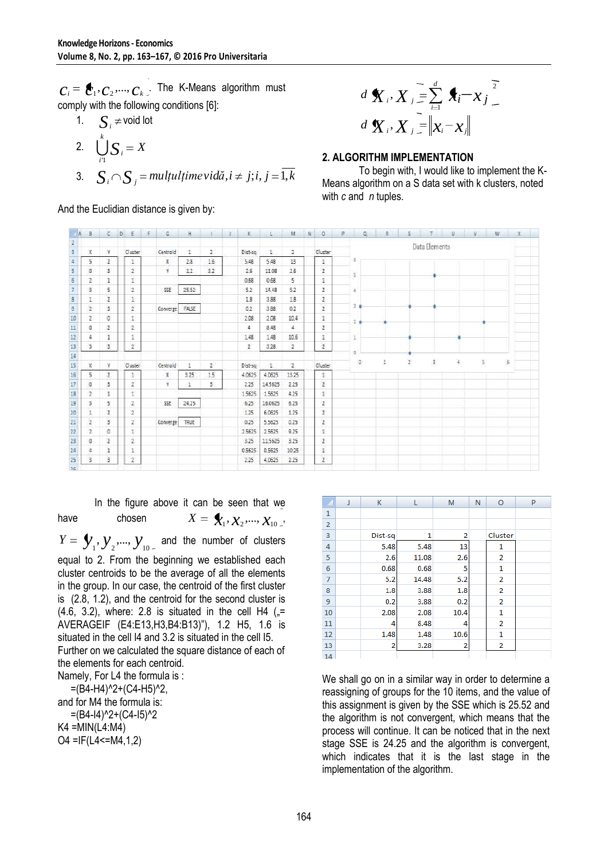$C_1, C_2, ..., C_k$ . The K-Means algorithm must comply with the following conditions [6]:

1. 
$$
\sum_{i=1}^{k} S_i = X
$$
  
2. 
$$
\bigcup_{i=1}^{k} S_i = X
$$
  
3. 
$$
S_i \cap S_j = \text{multultime} \quad \text{vidä}, i \neq j; i, j = \overline{1, k}
$$

$$
d\mathbf{X}_{i}, X_{j} = \sum_{i=1}^{d} \mathbf{A}_{i} - x_{j}
$$
  

$$
d\mathbf{X}_{i}, X_{j} = ||x_{i} - x_{j}||
$$

#### **2. ALGORITHM IMPLEMENTATION**

|        | 2. $\bigcup_{i=1}^{n} S_i = X$<br>3. $S_i \cap S_j$ = multultime vidă, $i \neq j$ ; i, $j = 1, k$<br>And the Euclidian distance is given by: |                    |                   |                                                                                                                        |       |                                                       |               |                  |              |                      | $d\mathbf{X}_i, X_i = \ \mathbf{x}_i - \mathbf{x}_i\ $<br>2. ALGORITHM IMPLEMENTATION<br>To begin with, I would like to implement the I<br>Means algorithm on a S data set with k clusters, note<br>with $c$ and $n$ tuples. |         |               |            |    |         |  |  |
|--------|----------------------------------------------------------------------------------------------------------------------------------------------|--------------------|-------------------|------------------------------------------------------------------------------------------------------------------------|-------|-------------------------------------------------------|---------------|------------------|--------------|----------------------|------------------------------------------------------------------------------------------------------------------------------------------------------------------------------------------------------------------------------|---------|---------------|------------|----|---------|--|--|
|        |                                                                                                                                              |                    |                   |                                                                                                                        |       |                                                       |               |                  | м            | N.<br>O              |                                                                                                                                                                                                                              |         |               |            |    |         |  |  |
| 2<br>3 |                                                                                                                                              | ¥                  | Cluster           | Centroid                                                                                                               | 1     | 2                                                     | Dist-sq       | 1.               | 2            | Cluster              |                                                                                                                                                                                                                              |         | Data Elements |            |    |         |  |  |
|        | 5                                                                                                                                            | $\overline{z}$     | 1                 | x                                                                                                                      | 28    | 16                                                    | 5.48          | 5.48             | 13           | î.                   | 5                                                                                                                                                                                                                            |         |               |            |    |         |  |  |
| 5<br>6 |                                                                                                                                              | 3<br>1             | 2<br>İ.           | Υ                                                                                                                      | 12    | 32                                                    | 26<br>0.68    | 11.08<br>0.68    | 26<br>5      | z<br>ī.              | 5                                                                                                                                                                                                                            |         |               |            |    |         |  |  |
|        | з                                                                                                                                            | 5                  | 2                 | SSE                                                                                                                    | 25.52 |                                                       | 52            | 14.48            | 52           | $\mathfrak{I}$       | ä,                                                                                                                                                                                                                           |         |               |            |    |         |  |  |
| 9      |                                                                                                                                              | $\overline{2}$     | 1                 |                                                                                                                        |       |                                                       | 18            | 3.88             | 18           | 2                    | 3.4                                                                                                                                                                                                                          |         |               |            |    |         |  |  |
| 10     | 2                                                                                                                                            | 3<br>ø             | 2<br>ŧ            | Converge                                                                                                               | FALSE |                                                       | 0.2<br>2.08   | 3.88<br>2.08     | 62<br>10.4   | $\overline{z}$<br>ī. |                                                                                                                                                                                                                              |         |               |            |    |         |  |  |
|        |                                                                                                                                              | z                  | 2                 |                                                                                                                        |       |                                                       | Ŧ             | 8.48             | 4            | T                    | ž.                                                                                                                                                                                                                           |         |               |            |    |         |  |  |
| 13     |                                                                                                                                              | ı.                 | Î.                |                                                                                                                        |       |                                                       | 148           | 148              | 10.6         | ī.                   | 1                                                                                                                                                                                                                            |         |               |            |    |         |  |  |
|        | з                                                                                                                                            | 3                  | $\mathbf{z}$      |                                                                                                                        |       |                                                       | z             | 3.28             | 2            | 2                    |                                                                                                                                                                                                                              |         |               |            |    |         |  |  |
|        | x                                                                                                                                            | ¥                  | Cluster           | Centroid                                                                                                               | 1     | 2                                                     | Dist-sq       | 1                | 2            | Cluster              | a                                                                                                                                                                                                                            | t       | Ï<br>ž        | ì,         | \$ |         |  |  |
| 16     | 5                                                                                                                                            | $\overline{2}$     | 1                 | X                                                                                                                      | 3.25  | 15                                                    | 4.0625        | 4.0625           | 13.25        | 1                    |                                                                                                                                                                                                                              |         |               |            |    |         |  |  |
| 18     | Ð<br>2                                                                                                                                       | з<br>$\mathbbm{1}$ | 2<br>ŧ            | ¥                                                                                                                      | 1     | з                                                     | 225<br>15625  | 14.5625<br>15625 | 225<br>425   | z<br>ī.              |                                                                                                                                                                                                                              |         |               |            |    |         |  |  |
|        |                                                                                                                                              | 5                  | 2                 | SSE                                                                                                                    | 24.25 |                                                       | 6.25          | 16.0625          | 625          | ï                    |                                                                                                                                                                                                                              |         |               |            |    |         |  |  |
|        | Ŧ                                                                                                                                            | $\overline{z}$     | 2                 |                                                                                                                        |       |                                                       | 125           | 6.0625           | 125          | $\overline{2}$       |                                                                                                                                                                                                                              |         |               |            |    |         |  |  |
|        | э<br>2                                                                                                                                       | 3<br>ø             | $\mathbf{z}$<br>t | Converge                                                                                                               | TRUE  |                                                       | 0.25<br>25625 | 5.5625<br>25625  | 0.25<br>925  | z<br>ī.              |                                                                                                                                                                                                                              |         |               |            |    |         |  |  |
|        | e                                                                                                                                            | z                  | 2                 |                                                                                                                        |       |                                                       | 3.25          | 11,5625          | 325          | 2                    |                                                                                                                                                                                                                              |         |               |            |    |         |  |  |
|        | 3.                                                                                                                                           | 1<br>3             | 1<br>$\mathbf{Z}$ |                                                                                                                        |       |                                                       | 0.5625<br>225 | 0.5625<br>4.0625 | 10.25<br>225 | 1<br>$\mathbf{Z}$    |                                                                                                                                                                                                                              |         |               |            |    |         |  |  |
|        |                                                                                                                                              |                    | chosen            | In the figure above it can be seen that we                                                                             |       | $X = \mathbf{X}_1, \mathbf{X}_2, , \mathbf{X}_{10}$ . |               |                  |              | 1<br>$\overline{2}$  |                                                                                                                                                                                                                              | K       | L             | M          | Ν  | O       |  |  |
|        |                                                                                                                                              |                    |                   |                                                                                                                        |       |                                                       |               |                  |              | 3                    |                                                                                                                                                                                                                              | Dist-sq | 1             | 2          |    | Cluster |  |  |
|        |                                                                                                                                              |                    |                   | $Y = \bigcup_{i=1}^{n} X_i$ , $Y_2$ ,, $Y_{10}$ and the number of clusters                                             |       |                                                       |               |                  |              | 4                    |                                                                                                                                                                                                                              | 5.48    | 5.48          | 13         |    | 1       |  |  |
|        |                                                                                                                                              |                    |                   | equal to 2. From the beginning we established each                                                                     |       |                                                       |               |                  |              | 5                    |                                                                                                                                                                                                                              | 2.6     | 11.08         | 2.6        |    | 2       |  |  |
|        |                                                                                                                                              |                    |                   | cluster centroids to be the average of all the elements                                                                |       |                                                       |               |                  |              | 6                    |                                                                                                                                                                                                                              | 0.68    | 0.68          | 5          |    | 1       |  |  |
|        |                                                                                                                                              |                    |                   | n the group. In our case, the centroid of the first cluster                                                            |       |                                                       |               |                  |              | $\overline{7}$       |                                                                                                                                                                                                                              | 5.2     | 14.48         | 5.2        |    | 2       |  |  |
|        |                                                                                                                                              |                    |                   |                                                                                                                        |       |                                                       |               |                  |              | 8                    |                                                                                                                                                                                                                              | 1.8     | 3.88<br>3.88  | 1.8<br>0.2 |    | 2       |  |  |
|        |                                                                                                                                              |                    |                   |                                                                                                                        |       |                                                       |               |                  |              |                      |                                                                                                                                                                                                                              |         |               |            |    |         |  |  |
|        |                                                                                                                                              |                    |                   | s (2.8, 1.2), and the centroid for the second cluster is                                                               |       |                                                       |               |                  |              | 9                    |                                                                                                                                                                                                                              | 0.2     |               |            |    | 2       |  |  |
|        |                                                                                                                                              |                    |                   | $(4.6, 3.2)$ , where: 2.8 is situated in the cell H4 ( $\mu$ =                                                         |       |                                                       |               |                  |              | 10                   |                                                                                                                                                                                                                              | 2.08    | 2.08<br>8.48  | 10.4       |    | 1<br>2  |  |  |
|        |                                                                                                                                              |                    |                   | AVERAGEIF (E4:E13,H3,B4:B13)"), 1.2 H5, 1.6 is                                                                         |       |                                                       |               |                  |              | 11<br>12             |                                                                                                                                                                                                                              | 1.48    | 1.48          | 10.6       |    | 1       |  |  |
|        |                                                                                                                                              |                    |                   | situated in the cell I4 and 3.2 is situated in the cell I5.<br>Further on we calculated the square distance of each of |       |                                                       |               |                  |              | 13<br>14             |                                                                                                                                                                                                                              |         | 3.28          |            |    | 2       |  |  |

|                | J | K              |       | M              | N | $\circ$        | P |
|----------------|---|----------------|-------|----------------|---|----------------|---|
| $\mathbf{1}$   |   |                |       |                |   |                |   |
| $\overline{2}$ |   |                |       |                |   |                |   |
| 3              |   | Dist-sq        | 1     | 2              |   | Cluster        |   |
| 4              |   | 5.48           | 5.48  | 13             |   | 1              |   |
| 5              |   | 2.6            | 11.08 | 2.6            |   | $\overline{2}$ |   |
| 6              |   | 0.68           | 0.68  | 5              |   | 1              |   |
| 7              |   | 5.2            | 14.48 | 5.2            |   | 2              |   |
| 8              |   | 1.8            | 3.88  | 1.8            |   | $\overline{2}$ |   |
| 9              |   | 0.2            | 3.88  | 0.2            |   | $\overline{2}$ |   |
| 10             |   | 2.08           | 2.08  | 10.4           |   | 1              |   |
| 11             |   | 4              | 8.48  | 4              |   | $\overline{2}$ |   |
| 12             |   | 1.48           | 1.48  | 10.6           |   | $\mathbf{1}$   |   |
| 13             |   | $\overline{2}$ | 3.28  | $\overline{2}$ |   | 2              |   |
| 14             |   |                |       |                |   |                |   |

We shall go on in a similar way in order to determine a reassigning of groups for the 10 items, and the value of this assignment is given by the SSE which is 25.52 and the algorithm is not convergent, which means that the process will continue. It can be noticed that in the next stage SSE is 24.25 and the algorithm is convergent, which indicates that it is the last stage in the implementation of the algorithm.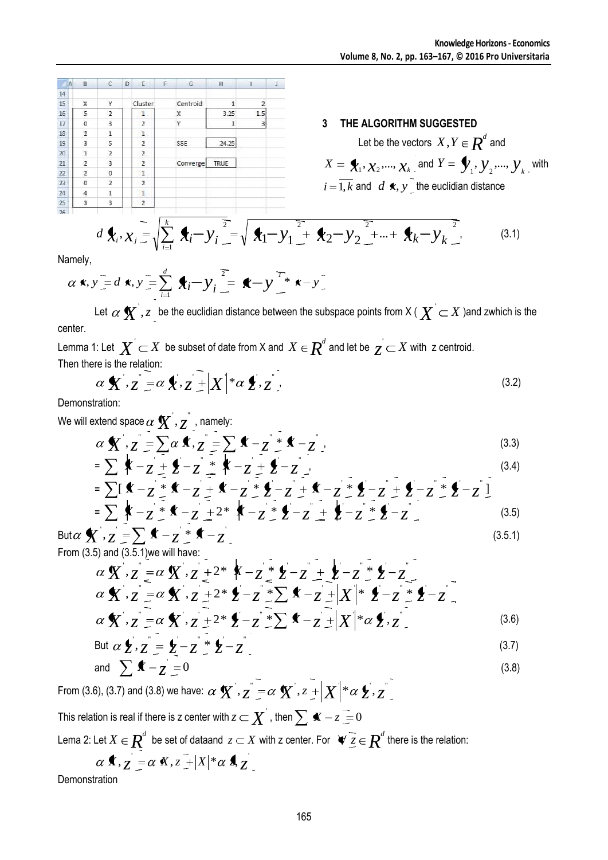| A   | B              | C              | D | E              | F. | G        | H     | п                       | 小 |
|-----|----------------|----------------|---|----------------|----|----------|-------|-------------------------|---|
| 14  |                |                |   |                |    |          |       |                         |   |
| 15  | X              | Ÿ              |   | Cluster        |    | Centroid |       | $\overline{\mathbf{z}}$ |   |
| 16  | 5              | $\overline{2}$ |   | 1.             |    | x        | 3.25  | 1.5                     |   |
| 17  | 0              | 3              |   | $\overline{2}$ |    | Ϋ        | 1     | 3                       |   |
| 18  | $\overline{2}$ | 1              |   | 1              |    |          |       |                         |   |
| 19  | 3              | 5              |   | $\overline{2}$ |    | SSE      | 24.25 |                         |   |
| 20  | 1              | $\overline{2}$ |   | $\overline{2}$ |    |          |       |                         |   |
| 21  | $\overline{2}$ | 3              |   | $\overline{2}$ |    | Converge | TRUE  |                         |   |
| 22  | $\overline{2}$ | 0              |   | 1              |    |          |       |                         |   |
| 23  | $\theta$       | $\overline{2}$ |   | $\overline{2}$ |    |          |       |                         |   |
| 24  | 4              | 1              |   | 1              |    |          |       |                         |   |
| 25  | 3              | 3              |   | $\overline{2}$ |    |          |       |                         |   |
| ne. |                |                |   |                |    |          |       |                         |   |

#### **3 THE ALGORITHM SUGGESTED**

Let be the vectors  $X, Y \in \mathbb{R}^d$  and  $X = \bigstar, X_2, \dots, X_k$  and  $Y = \bigstar, Y_2, \dots, Y_k$  with  $i = 1, k$  and  $d$  **x**,  $y$ <sub> $\subseteq$ </sub> the euclidian distance

$$
d\mathbf{f}_i, \chi_j = \sqrt{\sum_{i=1}^k \mathbf{f}_i - y_i^2} = \sqrt{\mathbf{f}_1 - y_1^2 + \mathbf{f}_2 - y_2^2 + \dots + \mathbf{f}_k - y_k^2}
$$
(3.1)

Namely,

$$
\alpha \bullet \mathbf{x}, \mathbf{y} = d \bullet \mathbf{x}, \mathbf{y} = \sum_{i=1}^{d} \bullet \mathbf{x}_i - \mathbf{y}_i = \bullet - \mathbf{y} \stackrel{\mathcal{T}_*}{\mathcal{T}} \bullet \mathbf{x} - \mathbf{y}
$$

Let  $\alpha$   $\bm{X}$  ,  $z$  <sub>\_</sub> be the euclidian distance between the subspace points from X (  $\bm{X}$   $\sub{X}$  )and zwhich is the center.

Lemma 1: Let  $\boldsymbol{X} \subset X$  be subset of date from X and  $\, \boldsymbol{X} \in \boldsymbol{R}^d$  and let be  $\, \boldsymbol{Z} \subset X$  with  $\,$  z centroid. Then there is the relation:

$$
\alpha \mathbf{X}^{\prime}, \overline{z} = \alpha \mathbf{X}, \overline{z} + |X|^{*} \alpha \mathbf{X}, \overline{z}^{\prime}.
$$
\n(3.2)

Demonstration:

We will extend space  $\alpha\,\mathbf{X}^{'}, z^{''}$  , namely:

$$
\alpha \mathbf{X} \cdot z = \sum \alpha \mathbf{X} \cdot z = \sum \alpha \mathbf{X} \cdot z = \sum \alpha \mathbf{X} \cdot z = \sum \alpha \mathbf{X} \cdot z = \sum \alpha \mathbf{X} \cdot z = \sum \alpha \mathbf{X} \cdot z = \sum \alpha \mathbf{X} \cdot z = \sum \alpha \mathbf{X} \cdot z = \sum \alpha \mathbf{X} \cdot z = \sum \alpha \mathbf{X} \cdot z = \sum \alpha \mathbf{X} \cdot z = \sum \alpha \mathbf{X} \cdot z = \sum \alpha \mathbf{X} \cdot z = \sum \alpha \mathbf{X} \cdot z = \sum \alpha \mathbf{X} \cdot z = \sum \alpha \mathbf{X} \cdot z = \sum \alpha \mathbf{X} \cdot z = \sum \alpha \mathbf{X} \cdot z = \sum \alpha \mathbf{X} \cdot z = \sum \alpha \mathbf{X} \cdot z = \sum \alpha \mathbf{X} \cdot z = \sum \alpha \mathbf{X} \cdot z = \sum \alpha \mathbf{X} \cdot z = \sum \alpha \mathbf{X} \cdot z = \sum \alpha \mathbf{X} \cdot z = \sum \alpha \mathbf{X} \cdot z = \sum \alpha \mathbf{X} \cdot z = \sum \alpha \mathbf{X} \cdot z = \sum \alpha \mathbf{X} \cdot z = \sum \alpha \mathbf{X} \cdot z = \sum \alpha \mathbf{X} \cdot z = \sum \alpha \mathbf{X} \cdot z = \sum \alpha \mathbf{X} \cdot z = \sum \alpha \mathbf{X} \cdot z = \sum \alpha \mathbf{X} \cdot z = \sum \alpha \mathbf{X} \cdot z = \sum \alpha \mathbf{X} \cdot z = \sum \alpha \mathbf{X} \cdot z = \sum \alpha \mathbf{X} \cdot z = \sum \alpha \mathbf{X} \cdot z = \sum \alpha \mathbf{X} \cdot z = \sum \alpha \mathbf{X} \cdot z = \sum \alpha \mathbf{X} \cdot z = \sum \alpha \mathbf{X} \cdot z = \sum \alpha \mathbf{X} \cdot z = \sum \alpha \mathbf{X} \cdot z = \sum \alpha \mathbf{X} \cdot z = \sum \alpha \mathbf{X} \cdot z = \sum \alpha \mathbf{X} \cdot z = \sum \alpha \mathbf{X} \cdot z = \sum \alpha \mathbf{X} \cdot z = \sum \alpha \mathbf{X} \cdot z = \sum \alpha \mathbf{X} \cdot z = \sum \alpha \math
$$

$$
= \sum_{i=1}^{n} \mathbf{K} - z + \mathbf{L} - z + \mathbf{K} - z + \mathbf{L} - z
$$
\n
$$
= \sum_{i=1}^{n} [\mathbf{K} - z + \mathbf{K} - z + \mathbf{K} - z + \mathbf{L} - z + \mathbf{K} - z + \mathbf{L} - z + \mathbf{L} - z + \mathbf{L} - z + \mathbf{L} - z + \mathbf{L} - z]
$$
\n
$$
= \sum_{i=1}^{n} \mathbf{K} - z + \mathbf{K} - z + 2 + \mathbf{K} - z + \mathbf{L} - z + \mathbf{L} - z + \mathbf{L} - z + \mathbf{L} - z
$$
\n
$$
(3.4)
$$
\n
$$
= \sum_{i=1}^{n} \mathbf{K} - z + \mathbf{K} - z + 2 + \mathbf{K} - z + \mathbf{L} - z + \mathbf{L} - z + \mathbf{L} - z
$$
\n
$$
(3.5)
$$

$$
\text{But } \alpha \mathbf{Y}, \overline{z} = \sum \mathbf{Y} - z \stackrel{*}{=} \mathbf{X} - z \tag{3.5.1}
$$

From 
$$
(3.5)
$$
 and  $(3.5.1)$  we will have:

$$
\alpha \mathbf{X} \cdot z = \alpha \mathbf{X} \cdot z + 2 \mathbf{X} - z + 2 \mathbf{X} - z + 2 \mathbf{X} - z - 2 \mathbf{X} - z - 2 \mathbf{X} \cdot z = \alpha \mathbf{X} \cdot z + 2 \mathbf{X} - z + 2 \mathbf{X} - z + |X| \mathbf{X} - z + 2 \mathbf{X} - z - 2 \mathbf{X} \cdot z = \alpha \mathbf{X} \cdot z + 2 \mathbf{X} - z + 2 \mathbf{X} - z + |X| \mathbf{X} \cdot z = \alpha \mathbf{X} \cdot z + 2 \mathbf{X} - z + |X| \mathbf{X} \cdot z
$$
\n(3.6)

But 
$$
\alpha \downarrow z
$$
,  $z = \downarrow -z$  \*  $\downarrow -z$  (3.7)

and 
$$
\sum_{n=1}^{\infty} \mathbf{A} - \mathbf{Z} = 0
$$
 (3.8)

From (3.6), (3.7) and (3.8) we have:  $\alpha \mathbf{X}^{\prime}$  ,  $z^{\prime}$  =  $\alpha \mathbf{X}^{\prime}$  ,  $z$   $\pm$   $|X|^{*} \alpha \mathbf{\,} \xi$  ,  $z^{\prime}$ 

This relation is real if there is z center with  $z\!\subset\!\boldsymbol{X}^{'}$  , then  $\sum\,\boldsymbol{x}-z\equiv 0$ 

Lema 2: Let  $X \in \underline{\bm{R}}^d$  be set of dataand  $\,z \subset X$  with z center. For  $\,\,\,\forall\,\,\overline{z} \in \overline{\bm{R}}^d$  there is the relation:

$$
\alpha \mathbf{X}, \mathbf{Z} = \alpha \mathbf{X}, \mathbf{Z} + |X| \alpha \mathbf{X}, \mathbf{Z} -
$$

**Demonstration**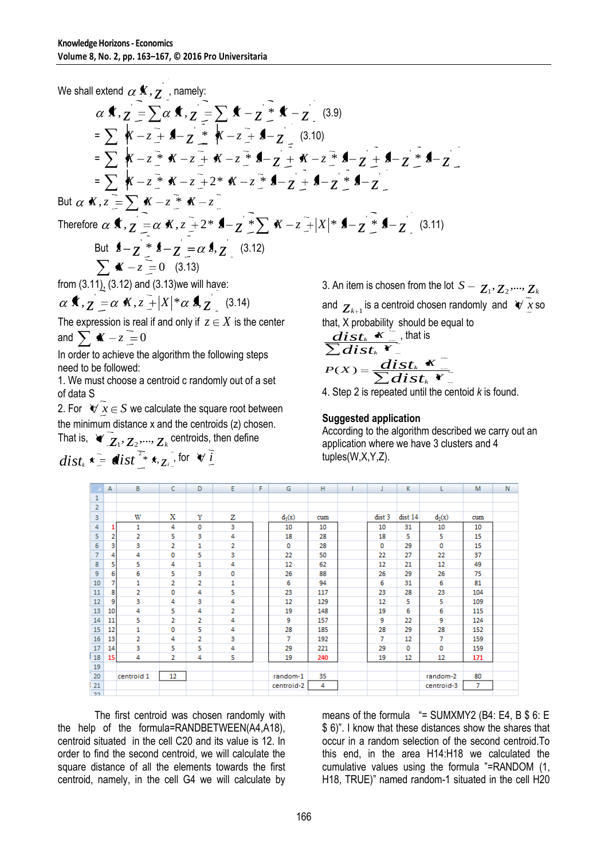We shall extend  $\alpha$  **K**,  $z$  , namely: **f**,  $z = \sum \alpha$  **f**,  $z = \sum$  **f**  $-z =$  **f**  $-z =$  (3.9)  $= \sum_{i=1}^{n} {K - z + 1 \choose 2} + \sum_{i=1}^{n} {K - z + 1 \choose 2} + \sum_{i=1}^{n} (3.10)$  $= \sum_{i=1}^{n} X - z \stackrel{*}{\rightarrow} X - z \stackrel{*}{\rightarrow} X - z \stackrel{*}{\rightarrow} 1 - z \stackrel{*}{\rightarrow} 1 - z \stackrel{*}{\rightarrow} 1 - z \stackrel{*}{\rightarrow} 1 - z \stackrel{*}{\rightarrow} 1 - z$  $= \sum_{i=1}^{n} X - z \cdot \overline{X} - z \cdot \overline{Y} + 2 \cdot \overline{X} - z \cdot \overline{Y} + 2 \cdot \overline{Z} + 2 \cdot \overline{Z} + 2 \cdot \overline{Z}$ But  $\alpha$  **K**,  $z = \sum K - z$  **\***  $K - z$ Therefore  $\alpha$  **x**,  $z = \alpha$  **x**,  $z = 2$  **\* 1**  $-z \ge \sum$  **x**  $-z = |X|$  **\* 1**  $-z \ge$  **1**  $z = 3$  (3.11) But  $\oint_{-\infty}^{\infty}$   $\oint_{-\infty}^{\infty}$   $\oint_{-\infty}^{\infty}$   $\oint_{-\infty}^{\infty}$   $\oint_{-\infty}^{\infty}$   $\oint_{-\infty}^{\infty}$   $\oint_{-\infty}^{\infty}$   $(3.12)$  $\sum x - z = 0$  (3.13) from (3.11), (3.12) and (3.13)we will have: *x*,  $z = \alpha$  *x*,  $z = |X| * \alpha$  *z*, (3.14)

The expression is real if and only if  $z \in X$  is the center and  $\sum$  **K**  $-z=0$ 

In order to achieve the algorithm the following steps need to be followed:

1. We must choose a centroid c randomly out of a set of data S

2. For  $\forall x \in S$  we calculate the square root between the minimum distance x and the centroids (z) chosen.

That is,  $\forall x_1, z_2, ..., z_k$  centroids, then define

$$
dist_{k} \mathbf{x} = \mathbf{dist}_{\perp}^{T_{*}} \mathbf{x}_{, Z_{i}} \text{ for } \mathbf{v} \underline{i}
$$

3. An item is chosen from the lot  $S - z_1, z_2, ..., z_k$ and  $z_{k+1}$  is a centroid chosen randomly and  $\forall x$  so that, X probability should be equal to  $\overline{dist_k \cdot x}$ , that is

$$
\frac{dist_k \mathbf{x}^2}{\sum dist_k \mathbf{y}^2}
$$
, that is  

$$
P(X) = \frac{dist_k \mathbf{x}^2}{\sum dist_k \mathbf{y}^2}
$$

4. Step 2 is repeated until the centoid *k* is found.

#### **Suggested application**

According to the algorithm described we carry out an application where we have 3 clusters and 4 tuples(W,X,Y,Z).

|                | А  | в              | c              | D              | Ε | F | G          | н   |        | К       |            | M   | N |
|----------------|----|----------------|----------------|----------------|---|---|------------|-----|--------|---------|------------|-----|---|
| 1              |    |                |                |                |   |   |            |     |        |         |            |     |   |
| $\overline{2}$ |    |                |                |                |   |   |            |     |        |         |            |     |   |
| 3              |    | w              | Х              | Y              | z |   | $d_1(x)$   | cum | dist 3 | dist 14 | $d_2(x)$   | cum |   |
| 4              |    | 1              | 4              | 0              | 3 |   | 10         | 10  | 10     | 31      | 10         | 10  |   |
| 5              | 2  | 2              | 5              | 3              | 4 |   | 18         | 28  | 18     | 5       | 5          | 15  |   |
| 6              | 3  | з              | 2              | 1              | 2 |   | 0          | 28  | 0      | 29      | 0          | 15  |   |
| 7              | 4  | 4              | 0              | 5              | 3 |   | 22         | 50  | 22     | 27      | 22         | 37  |   |
| 8              | 5  | 5              | 4              | 1              | 4 |   | 12         | 62  | 12     | 21      | 12         | 49  |   |
| 9              | 6  | 6              | 5              | з              | 0 |   | 26         | 88  | 26     | 29      | 26         | 75  |   |
| 10             | 7  | 1              | 2              | 2              | 1 |   | 6          | 94  | 6      | 31      | 6          | 81  |   |
| 11             | 8  | $\overline{2}$ | 0              | 4              | 5 |   | 23         | 117 | 23     | 28      | 23         | 104 |   |
| 12             | 9  | 3              | 4              | 3              | 4 |   | 12         | 129 | 12     | 5       | 5          | 109 |   |
| 13             | 10 | 4              | 5              | 4              | 2 |   | 19         | 148 | 19     | 6       | 6          | 115 |   |
| 14             | 11 | 5              | 2              | $\overline{2}$ | 4 |   | 9          | 157 | 9      | 22      | 9          | 124 |   |
| 15             | 12 | 1              | 0              | 5              | 4 |   | 28         | 185 | 28     | 29      | 28         | 152 |   |
| 16             | 13 | 2              | 4              | 2              | 3 |   | 7          | 192 | 7      | 12      | 7          | 159 |   |
| 17             | 14 | 3              | 5              | 5              | 4 |   | 29         | 221 | 29     | 0       | 0          | 159 |   |
| 18             | 15 | 4              | $\overline{2}$ | 4              | 5 |   | 19         | 240 | 19     | 12      | 12         | 171 |   |
| 19             |    |                |                |                |   |   |            |     |        |         |            |     |   |
| 20             |    | centroid 1     | 12             |                |   |   | random-1   | 35  |        |         | random-2   | 80  |   |
| 21             |    |                |                |                |   |   | centroid-2 | 4   |        |         | centroid-3 | 7   |   |
| 22             |    |                |                |                |   |   |            |     |        |         |            |     |   |

The first centroid was chosen randomly with the help of the formula=RANDBETWEEN(A4,A18), centroid situated in the cell C20 and its value is 12. In order to find the second centroid, we will calculate the square distance of all the elements towards the first centroid, namely, in the cell G4 we will calculate by

means of the formula  $=$  SUMXMY2 (B4: E4, B \$ 6: E \$ 6)". I know that these distances show the shares that occur in a random selection of the second centroid.To this end, in the area H14:H18 we calculated the cumulative values using the formula "=RANDOM (1, H18, TRUE)" named random-1 situated in the cell H20